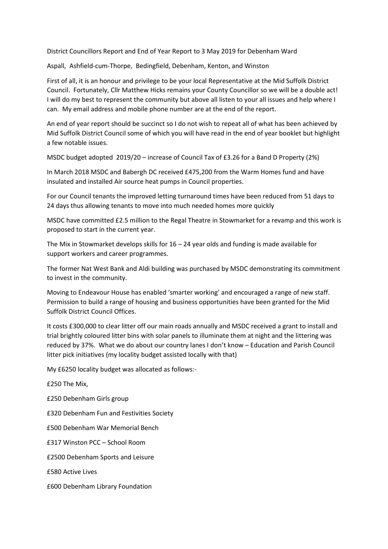District Councillors Report and End of Year Report to 3 May 2019 for Debenham Ward

Aspall, Ashfield-cum-Thorpe, Bedingfield, Debenham, Kenton, and Winston

First of all, it is an honour and privilege to be your local Representative at the Mid Suffolk District Council. Fortunately, Cllr Matthew Hicks remains your County Councillor so we will be a double act! I will do my best to represent the community but above all listen to your all issues and help where I can. My email address and mobile phone number are at the end of the report.

An end of year report should be succinct so I do not wish to repeat all of what has been achieved by Mid Suffolk District Council some of which you will have read in the end of year booklet but highlight a few notable issues.

MSDC budget adopted 2019/20 – increase of Council Tax of £3.26 for a Band D Property (2%)

In March 2018 MSDC and Babergh DC received £475,200 from the Warm Homes fund and have insulated and installed Air source heat pumps in Council properties.

For our Council tenants the improved letting turnaround times have been reduced from 51 days to 24 days thus allowing tenants to move into much needed homes more quickly

MSDC have committed £2.5 million to the Regal Theatre in Stowmarket for a revamp and this work is proposed to start in the current year.

The Mix in Stowmarket develops skills for  $16 - 24$  year olds and funding is made available for support workers and career programmes.

The former Nat West Bank and Aldi building was purchased by MSDC demonstrating its commitment to invest in the community.

Moving to Endeavour House has enabled 'smarter working' and encouraged a range of new staff. Permission to build a range of housing and business opportunities have been granted for the Mid Suffolk District Council Offices.

It costs £300,000 to clear litter off our main roads annually and MSDC received a grant to install and trial brightly coloured litter bins with solar panels to illuminate them at night and the littering was reduced by 37%. What we do about our country lanes I don't know – Education and Parish Council litter pick initiatives (my locality budget assisted locally with that)

My £6250 locality budget was allocated as follows:-

£250 The Mix,

£250 Debenham Girls group

£320 Debenham Fun and Festivities Society

£500 Debenham War Memorial Bench

£317 Winston PCC – School Room

£2500 Debenham Sports and Leisure

£580 Active Lives

£600 Debenham Library Foundation